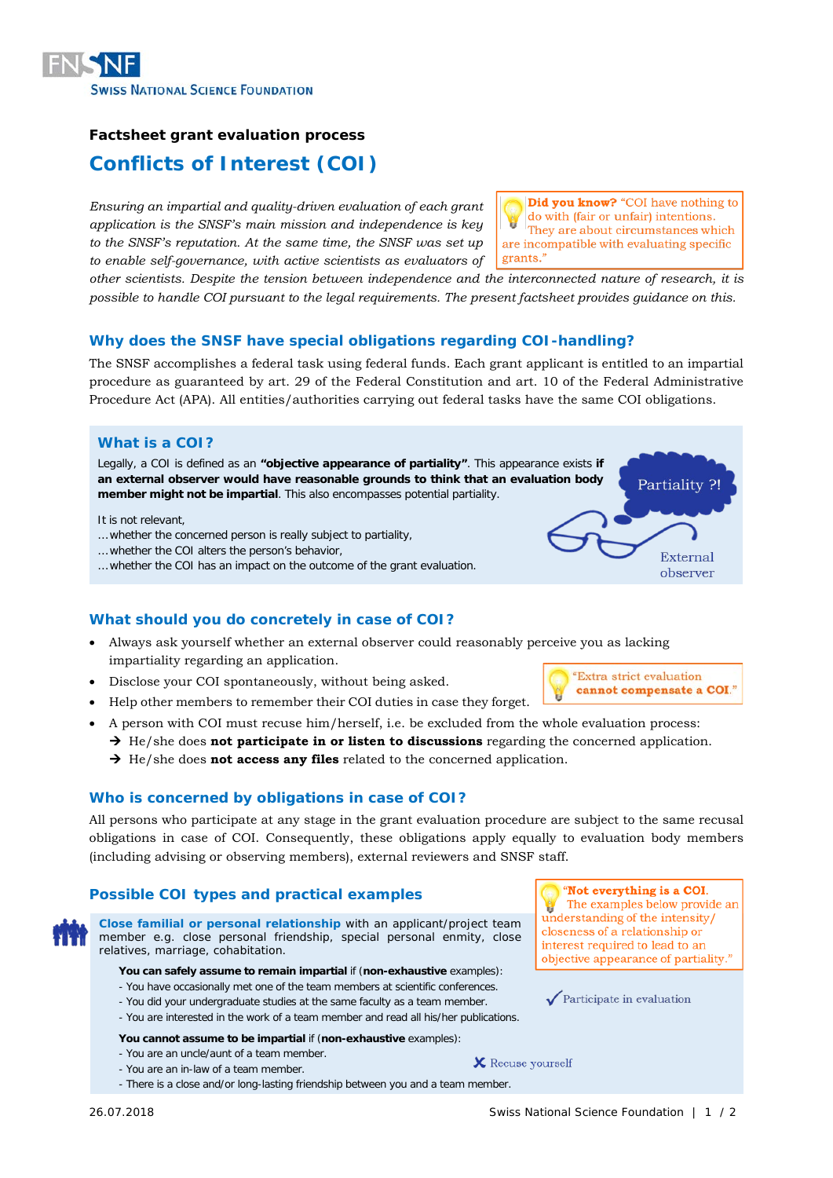

# **Factsheet grant evaluation process**

# **Conflicts of Interest (COI)**

*Ensuring an impartial and quality-driven evaluation of each grant application is the SNSF's main mission and independence is key to the SNSF's reputation. At the same time, the SNSF was set up to enable self-governance, with active scientists as evaluators of* 

**Did you know?** "COI have nothing to do with (fair or unfair) intentions. They are about circumstances which are incompatible with evaluating specific grants."

*other scientists. Despite the tension between independence and the interconnected nature of research, it is possible to handle COI pursuant to the legal requirements. The present factsheet provides guidance on this.*

# **Why does the SNSF have special obligations regarding COI-handling?**

The SNSF accomplishes a federal task using federal funds. Each grant applicant is entitled to an impartial procedure as guaranteed by art. 29 of the Federal Constitution and art. 10 of the Federal Administrative Procedure Act (APA). All entities/authorities carrying out federal tasks have the same COI obligations.

### **What is a COI?**

Legally, a COI is defined as an **"objective appearance of partiality"**. This appearance exists **if an external observer would have reasonable grounds to think that an evaluation body member might not be impartial**. This also encompasses potential partiality.

It is not relevant,

- … whether the concerned person is really subject to partiality,
- … whether the COI alters the person's behavior,
- … whether the COI has an impact on the outcome of the grant evaluation.

## **What should you do concretely in case of COI?**

- Always ask yourself whether an external observer could reasonably perceive you as lacking impartiality regarding an application.
- Disclose your COI spontaneously, without being asked.
- Help other members to remember their COI duties in case they forget.
- A person with COI must recuse him/herself, i.e. be excluded from the whole evaluation process:
	- $\rightarrow$  He/she does **not participate in or listen to discussions** regarding the concerned application.
	- $\rightarrow$  He/she does **not access any files** related to the concerned application.

## **Who is concerned by obligations in case of COI?**

All persons who participate at any stage in the grant evaluation procedure are subject to the same recusal obligations in case of COI. Consequently, these obligations apply equally to evaluation body members (including advising or observing members), external reviewers and SNSF staff.

# **Possible COI types and practical examples**

**Close familial or personal relationship** with an applicant/project team member e.g. close personal friendship, special personal enmity, close relatives, marriage, cohabitation.

#### **You can safely assume to remain impartial** if (**non-exhaustive** examples):

- You have occasionally met one of the team members at scientific conferences.
- You did your undergraduate studies at the same faculty as a team member.
- You are interested in the work of a team member and read all his/her publications.

#### **You cannot assume to be impartial** if (**non-exhaustive** examples):

- You are an uncle/aunt of a team member.
- You are an in-law of a team member.
- There is a close and/or long-lasting friendship between you and a team member.

"Not everything is a COI. The examples below provide an understanding of the intensity/ closeness of a relationship or interest required to lead to an objective appearance of partiality."

 $\sqrt{\frac{P}{T}}$  Participate in evaluation

"Extra strict evaluation cannot compensate a COI."

Partiality ?!

External observer

**X** Recuse yourself